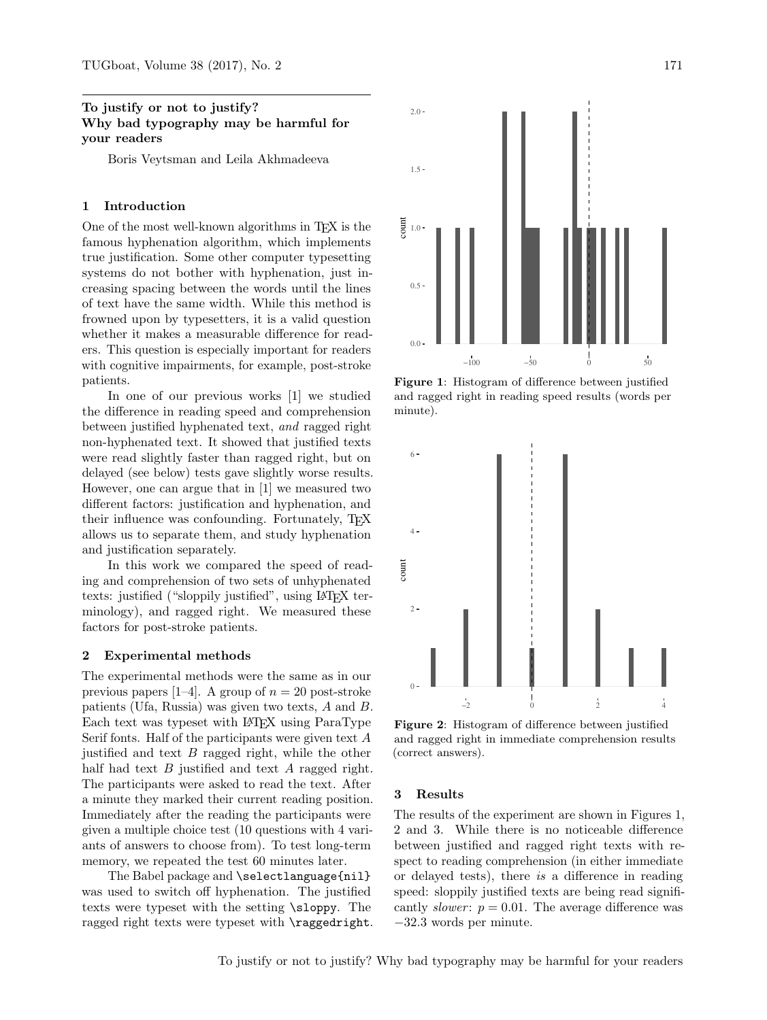## To justify or not to justify? Why bad typography may be harmful for your readers

Boris Veytsman and Leila Akhmadeeva

### 1 Introduction

One of the most well-known algorithms in TEX is the famous hyphenation algorithm, which implements true justification. Some other computer typesetting systems do not bother with hyphenation, just increasing spacing between the words until the lines of text have the same width. While this method is frowned upon by typesetters, it is a valid question whether it makes a measurable difference for readers. This question is especially important for readers with cognitive impairments, for example, post-stroke patients.

In one of our previous works [\[1\]](#page-1-0) we studied the difference in reading speed and comprehension between justified hyphenated text, and ragged right non-hyphenated text. It showed that justified texts were read slightly faster than ragged right, but on delayed (see below) tests gave slightly worse results. However, one can argue that in [\[1\]](#page-1-0) we measured two different factors: justification and hyphenation, and their influence was confounding. Fortunately, TEX allows us to separate them, and study hyphenation and justification separately.

In this work we compared the speed of reading and comprehension of two sets of unhyphenated texts: justified ("sloppily justified", using L<sup>A</sup>TEX terminology), and ragged right. We measured these factors for post-stroke patients.

#### 2 Experimental methods

The experimental methods were the same as in our previous papers [\[1–](#page-1-0)[4\]](#page-1-1). A group of  $n = 20$  post-stroke patients (Ufa, Russia) was given two texts, A and B. Each text was typeset with L<sup>A</sup>TEX using ParaType Serif fonts. Half of the participants were given text A justified and text  $B$  ragged right, while the other half had text  $B$  justified and text  $A$  ragged right. The participants were asked to read the text. After a minute they marked their current reading position. Immediately after the reading the participants were given a multiple choice test (10 questions with 4 variants of answers to choose from). To test long-term memory, we repeated the test 60 minutes later.

The Babel package and \selectlanguage{nil} was used to switch off hyphenation. The justified texts were typeset with the setting \sloppy. The ragged right texts were typeset with \raggedright.



<span id="page-0-0"></span>Figure 1: Histogram of difference between justified and ragged right in reading speed results (words per minute).



<span id="page-0-1"></span>Figure 2: Histogram of difference between justified and ragged right in immediate comprehension results (correct answers).

#### 3 Results

The results of the experiment are shown in Figures [1,](#page-0-0) [2](#page-0-1) and [3.](#page-1-2) While there is no noticeable difference between justified and ragged right texts with respect to reading comprehension (in either immediate or delayed tests), there is a difference in reading speed: sloppily justified texts are being read significantly slower:  $p = 0.01$ . The average difference was −32.3 words per minute.